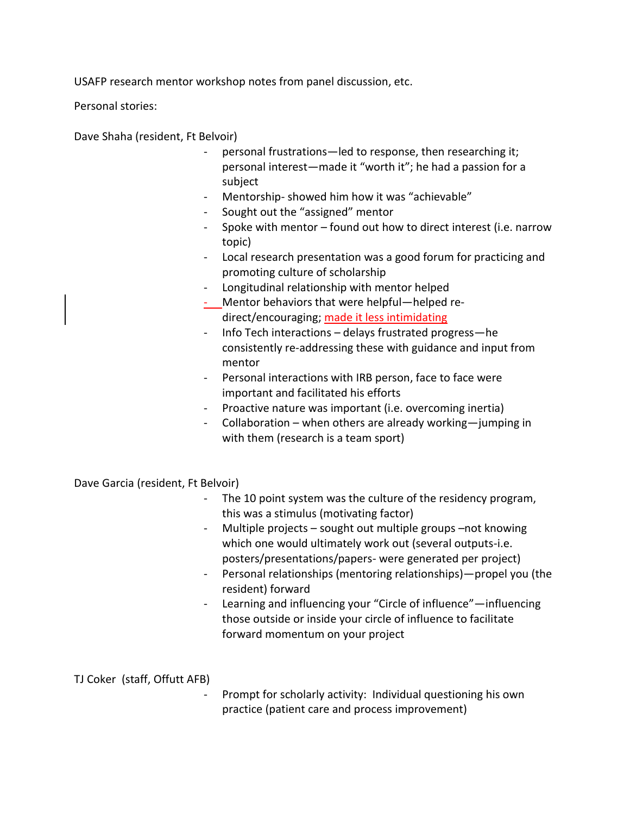USAFP research mentor workshop notes from panel discussion, etc.

Personal stories:

Dave Shaha (resident, Ft Belvoir)

- personal frustrations—led to response, then researching it; personal interest—made it "worth it"; he had a passion for a subject
- Mentorship- showed him how it was "achievable"
- Sought out the "assigned" mentor
- Spoke with mentor found out how to direct interest (i.e. narrow topic)
- Local research presentation was a good forum for practicing and promoting culture of scholarship
- Longitudinal relationship with mentor helped
- Mentor behaviors that were helpful—helped redirect/encouraging; made it less intimidating
- Info Tech interactions delays frustrated progress—he consistently re-addressing these with guidance and input from mentor
- Personal interactions with IRB person, face to face were important and facilitated his efforts
- Proactive nature was important (i.e. overcoming inertia)
- Collaboration when others are already working—jumping in with them (research is a team sport)

Dave Garcia (resident, Ft Belvoir)

- The 10 point system was the culture of the residency program, this was a stimulus (motivating factor)
- Multiple projects sought out multiple groups –not knowing which one would ultimately work out (several outputs-i.e. posters/presentations/papers- were generated per project)
- Personal relationships (mentoring relationships)—propel you (the resident) forward
- Learning and influencing your "Circle of influence"—influencing those outside or inside your circle of influence to facilitate forward momentum on your project

TJ Coker (staff, Offutt AFB)

Prompt for scholarly activity: Individual questioning his own practice (patient care and process improvement)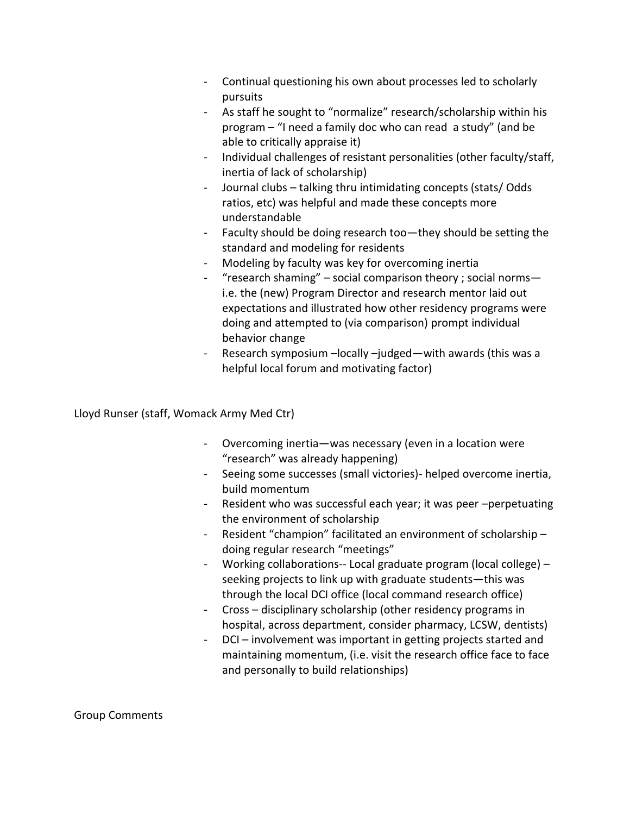- Continual questioning his own about processes led to scholarly pursuits
- As staff he sought to "normalize" research/scholarship within his program – "I need a family doc who can read a study" (and be able to critically appraise it)
- Individual challenges of resistant personalities (other faculty/staff, inertia of lack of scholarship)
- Journal clubs talking thru intimidating concepts (stats/ Odds ratios, etc) was helpful and made these concepts more understandable
- Faculty should be doing research too—they should be setting the standard and modeling for residents
- Modeling by faculty was key for overcoming inertia
- "research shaming" social comparison theory ; social norms i.e. the (new) Program Director and research mentor laid out expectations and illustrated how other residency programs were doing and attempted to (via comparison) prompt individual behavior change
- Research symposium –locally –judged—with awards (this was a helpful local forum and motivating factor)

Lloyd Runser (staff, Womack Army Med Ctr)

- Overcoming inertia—was necessary (even in a location were "research" was already happening)
- Seeing some successes (small victories)- helped overcome inertia, build momentum
- Resident who was successful each year; it was peer -perpetuating the environment of scholarship
- Resident "champion" facilitated an environment of scholarship doing regular research "meetings"
- Working collaborations-- Local graduate program (local college) seeking projects to link up with graduate students—this was through the local DCI office (local command research office)
- Cross disciplinary scholarship (other residency programs in hospital, across department, consider pharmacy, LCSW, dentists)
- DCI involvement was important in getting projects started and maintaining momentum, (i.e. visit the research office face to face and personally to build relationships)

Group Comments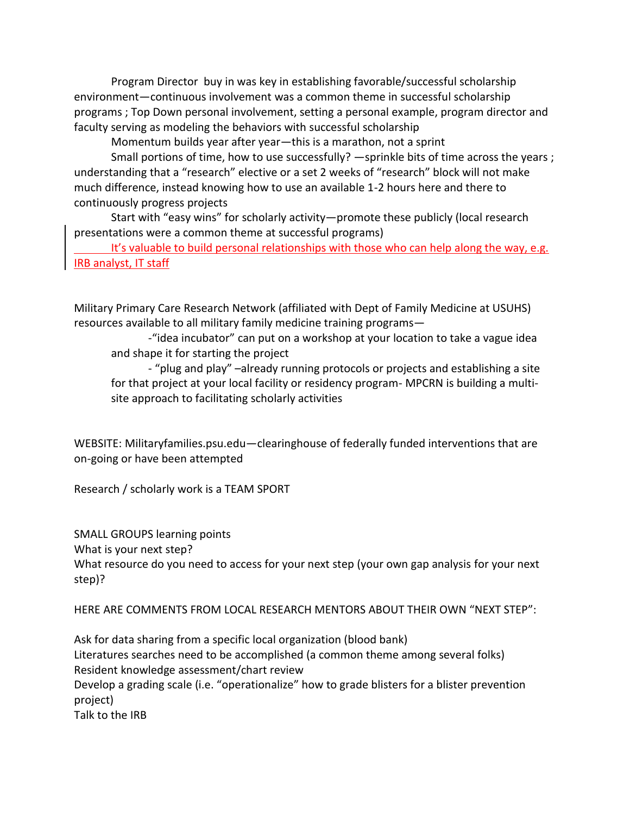Program Director buy in was key in establishing favorable/successful scholarship environment—continuous involvement was a common theme in successful scholarship programs ; Top Down personal involvement, setting a personal example, program director and faculty serving as modeling the behaviors with successful scholarship

Momentum builds year after year—this is a marathon, not a sprint

Small portions of time, how to use successfully? —sprinkle bits of time across the years ; understanding that a "research" elective or a set 2 weeks of "research" block will not make much difference, instead knowing how to use an available 1-2 hours here and there to continuously progress projects

Start with "easy wins" for scholarly activity—promote these publicly (local research presentations were a common theme at successful programs)

It's valuable to build personal relationships with those who can help along the way, e.g. IRB analyst, IT staff

Military Primary Care Research Network (affiliated with Dept of Family Medicine at USUHS) resources available to all military family medicine training programs—

-"idea incubator" can put on a workshop at your location to take a vague idea and shape it for starting the project

- "plug and play" –already running protocols or projects and establishing a site for that project at your local facility or residency program- MPCRN is building a multisite approach to facilitating scholarly activities

WEBSITE: Militaryfamilies.psu.edu—clearinghouse of federally funded interventions that are on-going or have been attempted

Research / scholarly work is a TEAM SPORT

SMALL GROUPS learning points What is your next step? What resource do you need to access for your next step (your own gap analysis for your next step)?

HERE ARE COMMENTS FROM LOCAL RESEARCH MENTORS ABOUT THEIR OWN "NEXT STEP":

Ask for data sharing from a specific local organization (blood bank) Literatures searches need to be accomplished (a common theme among several folks) Resident knowledge assessment/chart review Develop a grading scale (i.e. "operationalize" how to grade blisters for a blister prevention project) Talk to the IRB